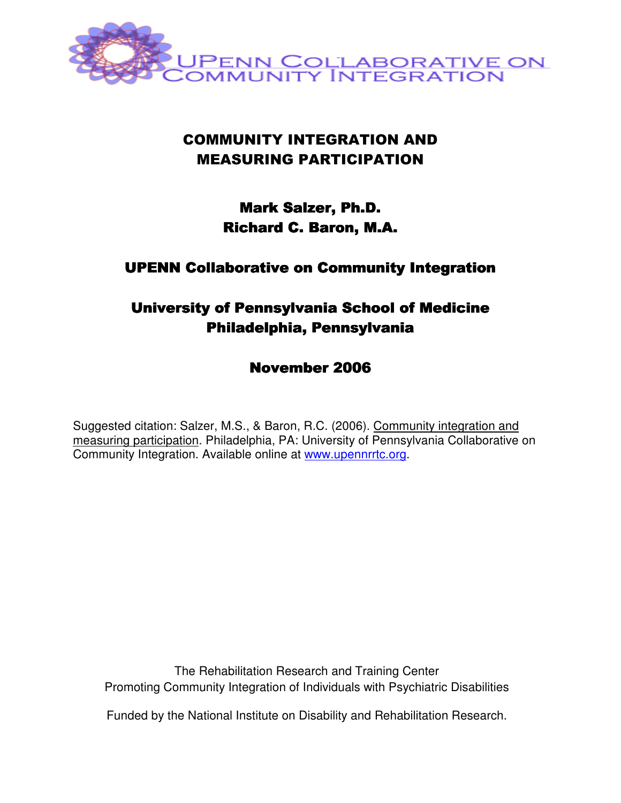

# COMMUNITY INTEGRATION AND MEASURING PARTICIPATION

# **Mark Salzer, Ph.D.** Richard C. Baron, M.A.

## UPENN Collaborative on Community Integration

# University of Pennsylvania School of Medicine Philadelphia, Pennsylvania

November 2006

Suggested citation: Salzer, M.S., & Baron, R.C. (2006). Community integration and measuring participation. Philadelphia, PA: University of Pennsylvania Collaborative on Community Integration. Available online at www.upennrrtc.org.

The Rehabilitation Research and Training Center Promoting Community Integration of Individuals with Psychiatric Disabilities

Funded by the National Institute on Disability and Rehabilitation Research.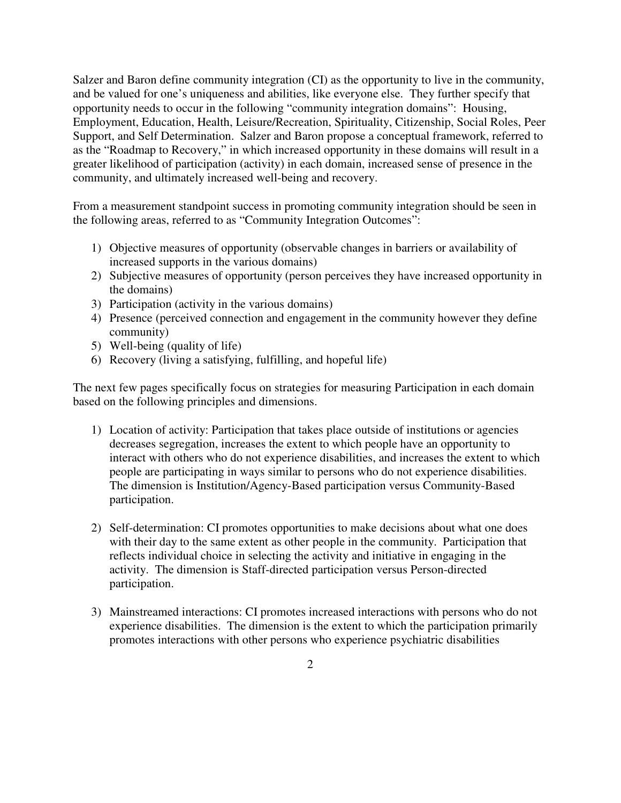Salzer and Baron define community integration (CI) as the opportunity to live in the community, and be valued for one's uniqueness and abilities, like everyone else. They further specify that opportunity needs to occur in the following "community integration domains": Housing, Employment, Education, Health, Leisure/Recreation, Spirituality, Citizenship, Social Roles, Peer Support, and Self Determination. Salzer and Baron propose a conceptual framework, referred to as the "Roadmap to Recovery," in which increased opportunity in these domains will result in a greater likelihood of participation (activity) in each domain, increased sense of presence in the community, and ultimately increased well-being and recovery.

From a measurement standpoint success in promoting community integration should be seen in the following areas, referred to as "Community Integration Outcomes":

- 1) Objective measures of opportunity (observable changes in barriers or availability of increased supports in the various domains)
- 2) Subjective measures of opportunity (person perceives they have increased opportunity in the domains)
- 3) Participation (activity in the various domains)
- 4) Presence (perceived connection and engagement in the community however they define community)
- 5) Well-being (quality of life)
- 6) Recovery (living a satisfying, fulfilling, and hopeful life)

The next few pages specifically focus on strategies for measuring Participation in each domain based on the following principles and dimensions.

- 1) Location of activity: Participation that takes place outside of institutions or agencies decreases segregation, increases the extent to which people have an opportunity to interact with others who do not experience disabilities, and increases the extent to which people are participating in ways similar to persons who do not experience disabilities. The dimension is Institution/Agency-Based participation versus Community-Based participation.
- 2) Self-determination: CI promotes opportunities to make decisions about what one does with their day to the same extent as other people in the community. Participation that reflects individual choice in selecting the activity and initiative in engaging in the activity. The dimension is Staff-directed participation versus Person-directed participation.
- 3) Mainstreamed interactions: CI promotes increased interactions with persons who do not experience disabilities. The dimension is the extent to which the participation primarily promotes interactions with other persons who experience psychiatric disabilities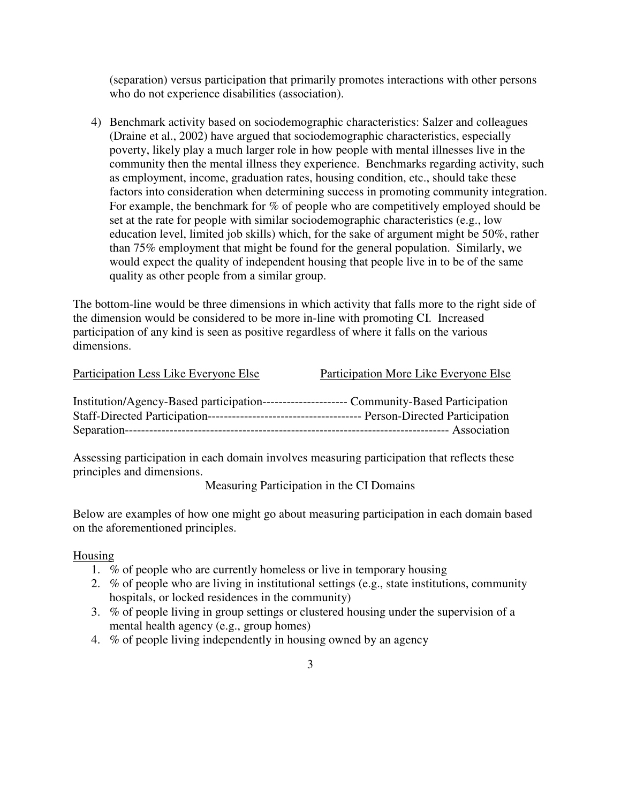(separation) versus participation that primarily promotes interactions with other persons who do not experience disabilities (association).

4) Benchmark activity based on sociodemographic characteristics: Salzer and colleagues (Draine et al., 2002) have argued that sociodemographic characteristics, especially poverty, likely play a much larger role in how people with mental illnesses live in the community then the mental illness they experience. Benchmarks regarding activity, such as employment, income, graduation rates, housing condition, etc., should take these factors into consideration when determining success in promoting community integration. For example, the benchmark for % of people who are competitively employed should be set at the rate for people with similar sociodemographic characteristics (e.g., low education level, limited job skills) which, for the sake of argument might be 50%, rather than 75% employment that might be found for the general population. Similarly, we would expect the quality of independent housing that people live in to be of the same quality as other people from a similar group.

The bottom-line would be three dimensions in which activity that falls more to the right side of the dimension would be considered to be more in-line with promoting CI. Increased participation of any kind is seen as positive regardless of where it falls on the various dimensions.

| Participation Less Like Everyone Else     | Participation More Like Everyone Else           |
|-------------------------------------------|-------------------------------------------------|
| Institution/Agency-Based participation--- | ----------------- Community-Based Participation |
|                                           |                                                 |
|                                           |                                                 |

Assessing participation in each domain involves measuring participation that reflects these principles and dimensions.

Measuring Participation in the CI Domains

Below are examples of how one might go about measuring participation in each domain based on the aforementioned principles.

#### Housing

- 1. % of people who are currently homeless or live in temporary housing
- 2. % of people who are living in institutional settings (e.g., state institutions, community hospitals, or locked residences in the community)
- 3. % of people living in group settings or clustered housing under the supervision of a mental health agency (e.g., group homes)
- 4. % of people living independently in housing owned by an agency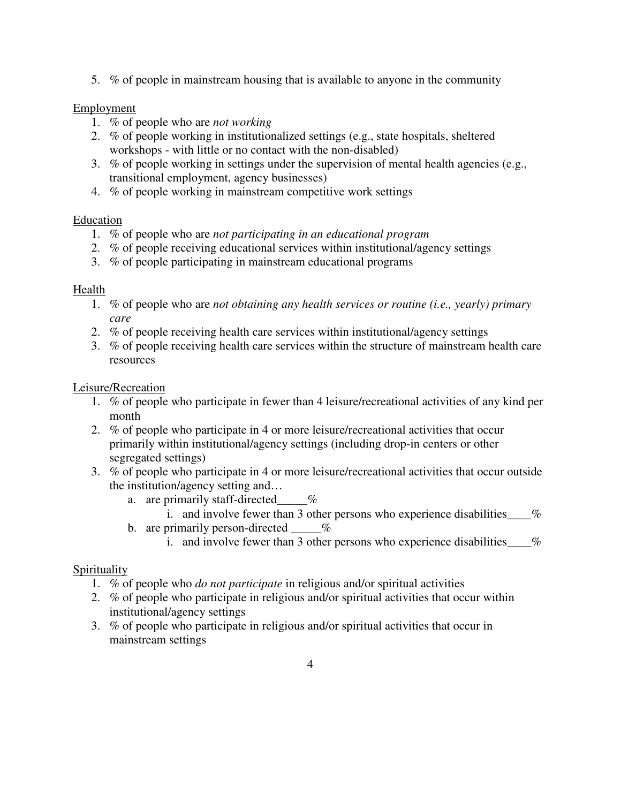5. % of people in mainstream housing that is available to anyone in the community

### Employment

- 1. % of people who are *not working*
- 2. % of people working in institutionalized settings (e.g., state hospitals, sheltered workshops - with little or no contact with the non-disabled)
- 3. % of people working in settings under the supervision of mental health agencies (e.g., transitional employment, agency businesses)
- 4. % of people working in mainstream competitive work settings

#### Education

- 1. % of people who are *not participating in an educational program*
- 2. % of people receiving educational services within institutional/agency settings
- 3. % of people participating in mainstream educational programs

#### Health

- 1. % of people who are *not obtaining any health services or routine (i.e., yearly) primary care*
- 2. % of people receiving health care services within institutional/agency settings
- 3. % of people receiving health care services within the structure of mainstream health care resources

#### Leisure/Recreation

- 1. % of people who participate in fewer than 4 leisure/recreational activities of any kind per month
- 2. % of people who participate in 4 or more leisure/recreational activities that occur primarily within institutional/agency settings (including drop-in centers or other segregated settings)
- 3. % of people who participate in 4 or more leisure/recreational activities that occur outside the institution/agency setting and…
	- a. are primarily staff-directed  $\%$ 
		- i. and involve fewer than 3 other persons who experience disabilities  $\%$
	- b. are primarily person-directed  $\_\_\_\%$ 
		- i. and involve fewer than 3 other persons who experience disabilities  $\frac{1}{2}$

#### Spirituality

- 1. % of people who *do not participate* in religious and/or spiritual activities
- 2. % of people who participate in religious and/or spiritual activities that occur within institutional/agency settings
- 3. % of people who participate in religious and/or spiritual activities that occur in mainstream settings